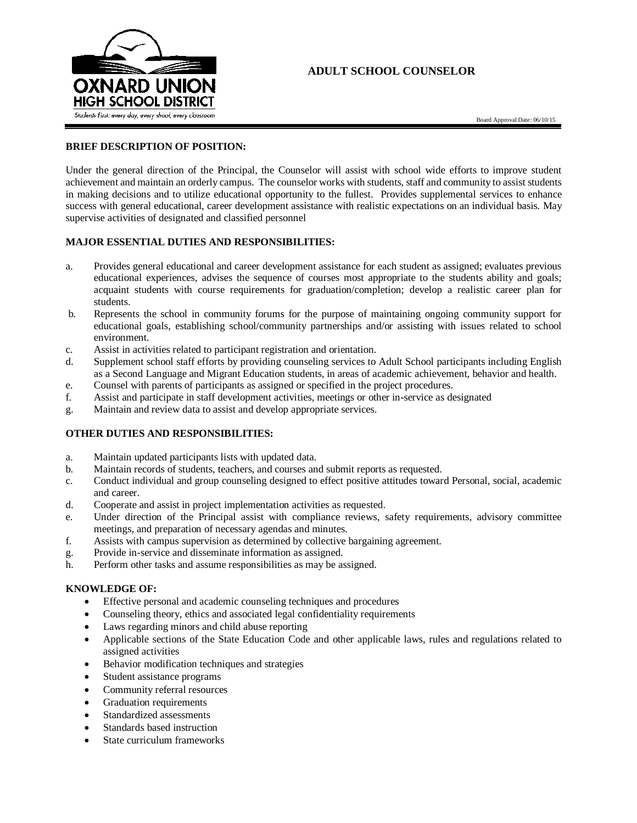

# **ADULT SCHOOL COUNSELOR**

Board Approval Date: 06/10/15

# **BRIEF DESCRIPTION OF POSITION:**

Under the general direction of the Principal, the Counselor will assist with school wide efforts to improve student achievement and maintain an orderly campus. The counselor works with students, staff and community to assist students in making decisions and to utilize educational opportunity to the fullest. Provides supplemental services to enhance success with general educational, career development assistance with realistic expectations on an individual basis. May supervise activities of designated and classified personnel

# **MAJOR ESSENTIAL DUTIES AND RESPONSIBILITIES:**

- a. Provides general educational and career development assistance for each student as assigned; evaluates previous educational experiences, advises the sequence of courses most appropriate to the students ability and goals; acquaint students with course requirements for graduation/completion; develop a realistic career plan for students.
- b. Represents the school in community forums for the purpose of maintaining ongoing community support for educational goals, establishing school/community partnerships and/or assisting with issues related to school environment.
- c. Assist in activities related to participant registration and orientation.
- d. Supplement school staff efforts by providing counseling services to Adult School participants including English as a Second Language and Migrant Education students, in areas of academic achievement, behavior and health.
- e. Counsel with parents of participants as assigned or specified in the project procedures.
- f. Assist and participate in staff development activities, meetings or other in-service as designated
- g. Maintain and review data to assist and develop appropriate services.

# **OTHER DUTIES AND RESPONSIBILITIES:**

- a. Maintain updated participants lists with updated data.
- b. Maintain records of students, teachers, and courses and submit reports as requested.
- c. Conduct individual and group counseling designed to effect positive attitudes toward Personal, social, academic and career.
- d. Cooperate and assist in project implementation activities as requested.
- e. Under direction of the Principal assist with compliance reviews, safety requirements, advisory committee meetings, and preparation of necessary agendas and minutes.
- f. Assists with campus supervision as determined by collective bargaining agreement.
- g. Provide in-service and disseminate information as assigned.
- h. Perform other tasks and assume responsibilities as may be assigned.

### **KNOWLEDGE OF:**

- Effective personal and academic counseling techniques and procedures
- Counseling theory, ethics and associated legal confidentiality requirements
- Laws regarding minors and child abuse reporting
- Applicable sections of the State Education Code and other applicable laws, rules and regulations related to assigned activities
- Behavior modification techniques and strategies
- Student assistance programs
- Community referral resources
- Graduation requirements
- Standardized assessments
- Standards based instruction
- State curriculum frameworks